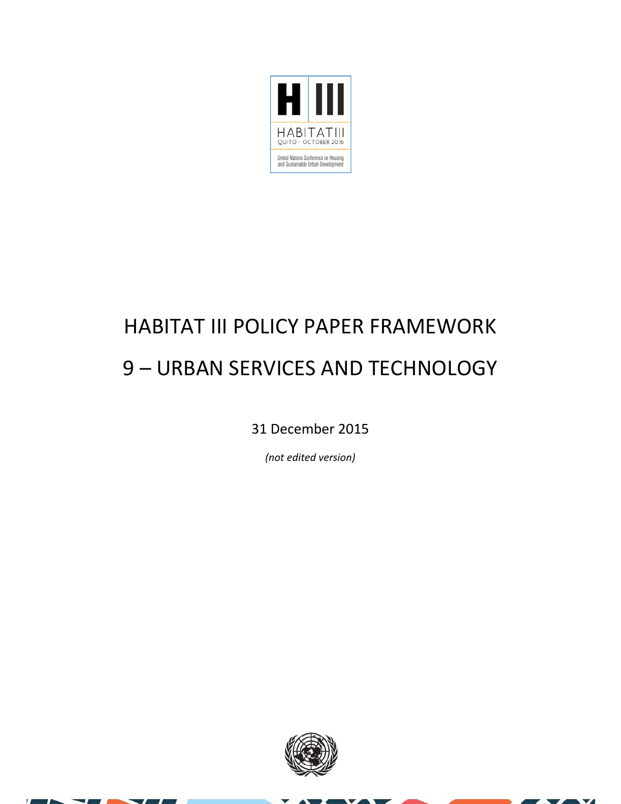

### HABITAT III POLICY PAPER FRAMEWORK 9 – URBAN SERVICES AND TECHNOLOGY

31 December 2015

*(not edited version)*



 $\overline{\mathbf{v}}$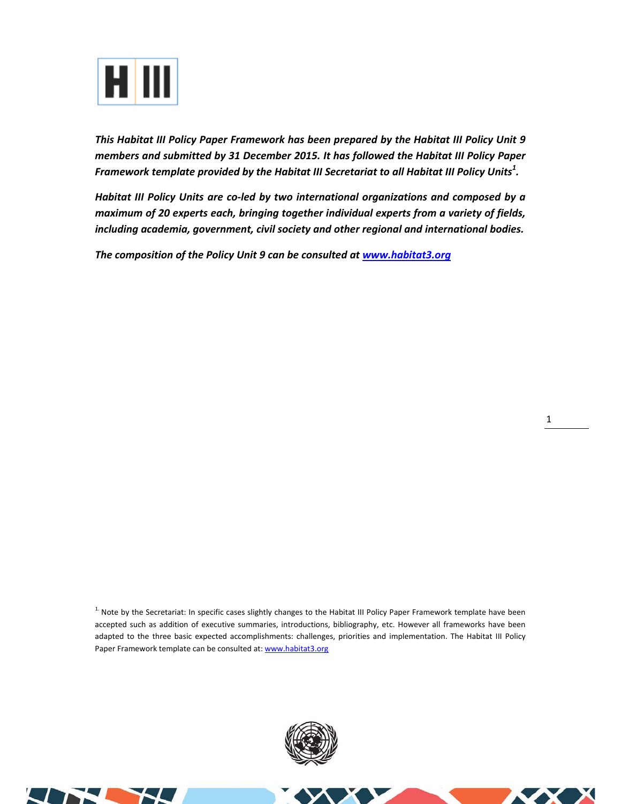

*This Habitat III Policy Paper Framework has been prepared by the Habitat III Policy Unit 9 members and submitted by 31 December 2015. It has followed the Habitat III Policy Paper Framework template provided by the Habitat III Secretariat to all Habitat III Policy Units<sup>1</sup> .* 

*Habitat III Policy Units are co‐led by two international organizations and composed by a maximum of 20 experts each, bringing together individual experts from a variety of fields, including academia, government, civil society and other regional and international bodies.* 

*The composition of the Policy Unit 9 can be consulted at www.habitat3.org* 

<sup>1.</sup> Note by the Secretariat: In specific cases slightly changes to the Habitat III Policy Paper Framework template have been accepted such as addition of executive summaries, introductions, bibliography, etc. However all frameworks have been adapted to the three basic expected accomplishments: challenges, priorities and implementation. The Habitat III Policy Paper Framework template can be consulted at: www.habitat3.org



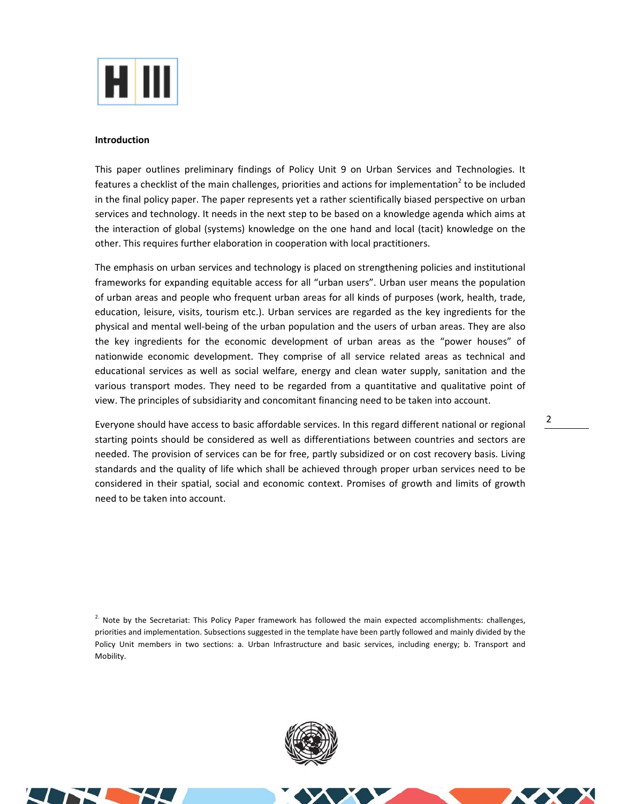

### **Introduction**

This paper outlines preliminary findings of Policy Unit 9 on Urban Services and Technologies. It features a checklist of the main challenges, priorities and actions for implementation<sup>2</sup> to be included in the final policy paper. The paper represents yet a rather scientifically biased perspective on urban services and technology. It needs in the next step to be based on a knowledge agenda which aims at the interaction of global (systems) knowledge on the one hand and local (tacit) knowledge on the other. This requires further elaboration in cooperation with local practitioners.

The emphasis on urban services and technology is placed on strengthening policies and institutional frameworks for expanding equitable access for all "urban users". Urban user means the population of urban areas and people who frequent urban areas for all kinds of purposes (work, health, trade, education, leisure, visits, tourism etc.). Urban services are regarded as the key ingredients for the physical and mental well‐being of the urban population and the users of urban areas. They are also the key ingredients for the economic development of urban areas as the "power houses" of nationwide economic development. They comprise of all service related areas as technical and educational services as well as social welfare, energy and clean water supply, sanitation and the various transport modes. They need to be regarded from a quantitative and qualitative point of view. The principles of subsidiarity and concomitant financing need to be taken into account.

Everyone should have access to basic affordable services. In this regard different national or regional starting points should be considered as well as differentiations between countries and sectors are needed. The provision of services can be for free, partly subsidized or on cost recovery basis. Living standards and the quality of life which shall be achieved through proper urban services need to be considered in their spatial, social and economic context. Promises of growth and limits of growth need to be taken into account.

 $2.$  Note by the Secretariat: This Policy Paper framework has followed the main expected accomplishments: challenges, priorities and implementation. Subsections suggested in the template have been partly followed and mainly divided by the Policy Unit members in two sections: a. Urban Infrastructure and basic services, including energy; b. Transport and Mobility.



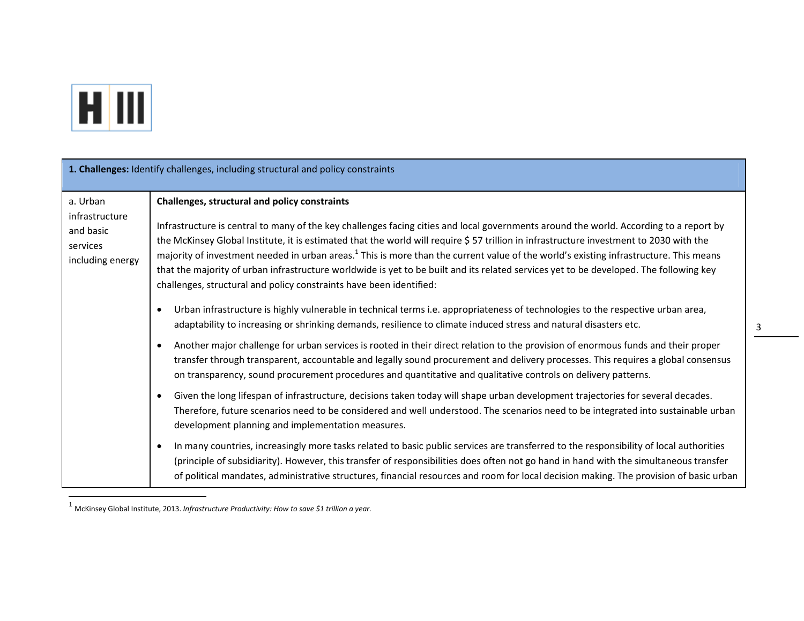

|                                                                         | 1. Challenges: Identify challenges, including structural and policy constraints                                                                                                                                                                                                                                                                                                                                                                                                                                                                                                                                                                                                                         |
|-------------------------------------------------------------------------|---------------------------------------------------------------------------------------------------------------------------------------------------------------------------------------------------------------------------------------------------------------------------------------------------------------------------------------------------------------------------------------------------------------------------------------------------------------------------------------------------------------------------------------------------------------------------------------------------------------------------------------------------------------------------------------------------------|
| a. Urban<br>infrastructure<br>and basic<br>services<br>including energy | Challenges, structural and policy constraints<br>Infrastructure is central to many of the key challenges facing cities and local governments around the world. According to a report by<br>the McKinsey Global Institute, it is estimated that the world will require \$57 trillion in infrastructure investment to 2030 with the<br>majority of investment needed in urban areas. <sup>1</sup> This is more than the current value of the world's existing infrastructure. This means<br>that the majority of urban infrastructure worldwide is yet to be built and its related services yet to be developed. The following key<br>challenges, structural and policy constraints have been identified: |
|                                                                         | Urban infrastructure is highly vulnerable in technical terms i.e. appropriateness of technologies to the respective urban area,<br>adaptability to increasing or shrinking demands, resilience to climate induced stress and natural disasters etc.                                                                                                                                                                                                                                                                                                                                                                                                                                                     |
|                                                                         | Another major challenge for urban services is rooted in their direct relation to the provision of enormous funds and their proper<br>transfer through transparent, accountable and legally sound procurement and delivery processes. This requires a global consensus<br>on transparency, sound procurement procedures and quantitative and qualitative controls on delivery patterns.                                                                                                                                                                                                                                                                                                                  |
|                                                                         | Given the long lifespan of infrastructure, decisions taken today will shape urban development trajectories for several decades.<br>$\bullet$<br>Therefore, future scenarios need to be considered and well understood. The scenarios need to be integrated into sustainable urban<br>development planning and implementation measures.                                                                                                                                                                                                                                                                                                                                                                  |
|                                                                         | In many countries, increasingly more tasks related to basic public services are transferred to the responsibility of local authorities<br>(principle of subsidiarity). However, this transfer of responsibilities does often not go hand in hand with the simultaneous transfer<br>of political mandates, administrative structures, financial resources and room for local decision making. The provision of basic urban                                                                                                                                                                                                                                                                               |

<sup>1</sup> McKinsey Global Institute, 2013. *Infrastructure Productivity: How to save \$1 trillion <sup>a</sup> year.*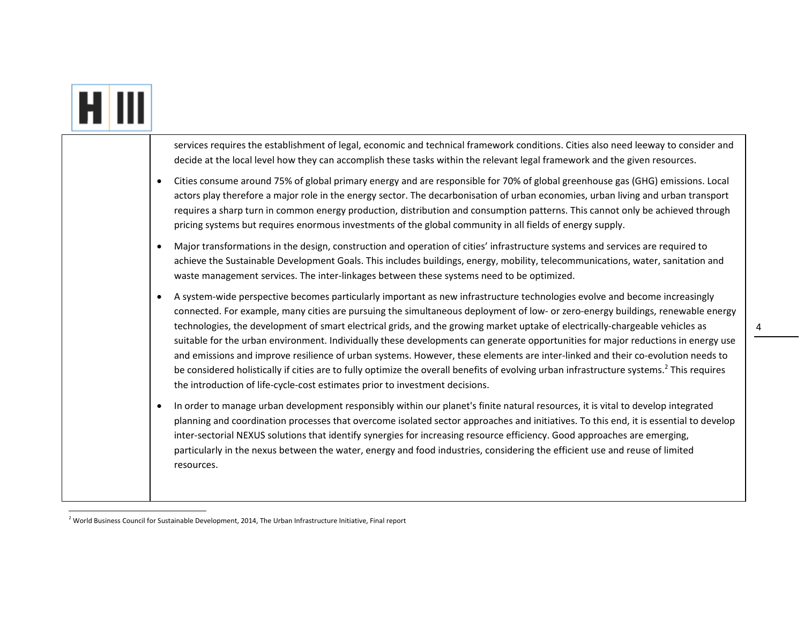|           | services requires the establishment of legal, economic and technical framework conditions. Cities also need leeway to consider and<br>decide at the local level how they can accomplish these tasks within the relevant legal framework and the given resources.                                                                                                                                                                                                                                                                                                                                                                                                                                                                                                                                                                                                                                               |
|-----------|----------------------------------------------------------------------------------------------------------------------------------------------------------------------------------------------------------------------------------------------------------------------------------------------------------------------------------------------------------------------------------------------------------------------------------------------------------------------------------------------------------------------------------------------------------------------------------------------------------------------------------------------------------------------------------------------------------------------------------------------------------------------------------------------------------------------------------------------------------------------------------------------------------------|
| $\bullet$ | Cities consume around 75% of global primary energy and are responsible for 70% of global greenhouse gas (GHG) emissions. Local<br>actors play therefore a major role in the energy sector. The decarbonisation of urban economies, urban living and urban transport<br>requires a sharp turn in common energy production, distribution and consumption patterns. This cannot only be achieved through<br>pricing systems but requires enormous investments of the global community in all fields of energy supply.                                                                                                                                                                                                                                                                                                                                                                                             |
| $\bullet$ | Major transformations in the design, construction and operation of cities' infrastructure systems and services are required to<br>achieve the Sustainable Development Goals. This includes buildings, energy, mobility, telecommunications, water, sanitation and<br>waste management services. The inter-linkages between these systems need to be optimized.                                                                                                                                                                                                                                                                                                                                                                                                                                                                                                                                                 |
| $\bullet$ | A system-wide perspective becomes particularly important as new infrastructure technologies evolve and become increasingly<br>connected. For example, many cities are pursuing the simultaneous deployment of low- or zero-energy buildings, renewable energy<br>technologies, the development of smart electrical grids, and the growing market uptake of electrically-chargeable vehicles as<br>suitable for the urban environment. Individually these developments can generate opportunities for major reductions in energy use<br>and emissions and improve resilience of urban systems. However, these elements are inter-linked and their co-evolution needs to<br>be considered holistically if cities are to fully optimize the overall benefits of evolving urban infrastructure systems. <sup>2</sup> This requires<br>the introduction of life-cycle-cost estimates prior to investment decisions. |
| $\bullet$ | In order to manage urban development responsibly within our planet's finite natural resources, it is vital to develop integrated<br>planning and coordination processes that overcome isolated sector approaches and initiatives. To this end, it is essential to develop<br>inter-sectorial NEXUS solutions that identify synergies for increasing resource efficiency. Good approaches are emerging,<br>particularly in the nexus between the water, energy and food industries, considering the efficient use and reuse of limited<br>resources.                                                                                                                                                                                                                                                                                                                                                            |

 $^2$  World Business Council for Sustainable Development, 2014, The Urban Infrastructure Initiative, Final report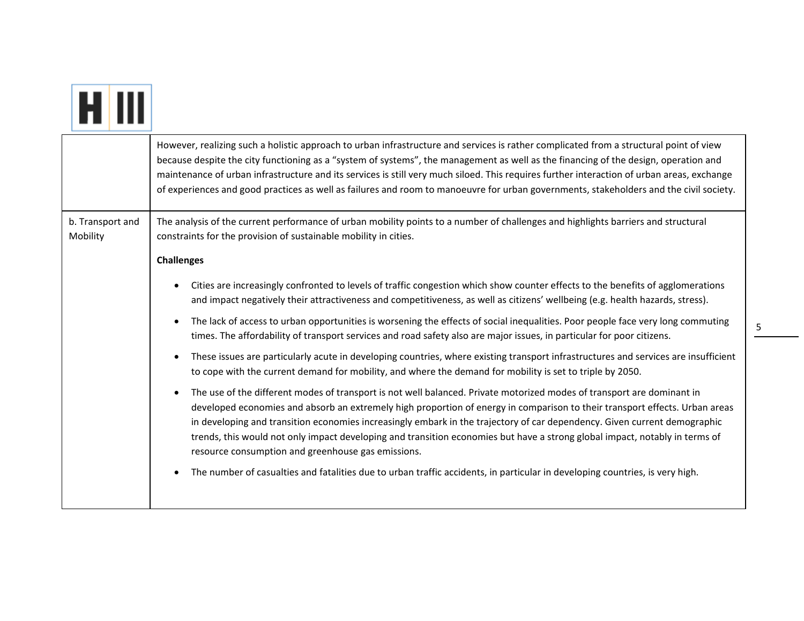|                              | However, realizing such a holistic approach to urban infrastructure and services is rather complicated from a structural point of view<br>because despite the city functioning as a "system of systems", the management as well as the financing of the design, operation and<br>maintenance of urban infrastructure and its services is still very much siloed. This requires further interaction of urban areas, exchange<br>of experiences and good practices as well as failures and room to manoeuvre for urban governments, stakeholders and the civil society.                |
|------------------------------|--------------------------------------------------------------------------------------------------------------------------------------------------------------------------------------------------------------------------------------------------------------------------------------------------------------------------------------------------------------------------------------------------------------------------------------------------------------------------------------------------------------------------------------------------------------------------------------|
| b. Transport and<br>Mobility | The analysis of the current performance of urban mobility points to a number of challenges and highlights barriers and structural<br>constraints for the provision of sustainable mobility in cities.                                                                                                                                                                                                                                                                                                                                                                                |
|                              | <b>Challenges</b>                                                                                                                                                                                                                                                                                                                                                                                                                                                                                                                                                                    |
|                              | Cities are increasingly confronted to levels of traffic congestion which show counter effects to the benefits of agglomerations<br>and impact negatively their attractiveness and competitiveness, as well as citizens' wellbeing (e.g. health hazards, stress).                                                                                                                                                                                                                                                                                                                     |
|                              | The lack of access to urban opportunities is worsening the effects of social inequalities. Poor people face very long commuting<br>$\bullet$<br>times. The affordability of transport services and road safety also are major issues, in particular for poor citizens.                                                                                                                                                                                                                                                                                                               |
|                              | These issues are particularly acute in developing countries, where existing transport infrastructures and services are insufficient<br>$\bullet$<br>to cope with the current demand for mobility, and where the demand for mobility is set to triple by 2050.                                                                                                                                                                                                                                                                                                                        |
|                              | The use of the different modes of transport is not well balanced. Private motorized modes of transport are dominant in<br>$\bullet$<br>developed economies and absorb an extremely high proportion of energy in comparison to their transport effects. Urban areas<br>in developing and transition economies increasingly embark in the trajectory of car dependency. Given current demographic<br>trends, this would not only impact developing and transition economies but have a strong global impact, notably in terms of<br>resource consumption and greenhouse gas emissions. |
|                              | The number of casualties and fatalities due to urban traffic accidents, in particular in developing countries, is very high.<br>$\bullet$                                                                                                                                                                                                                                                                                                                                                                                                                                            |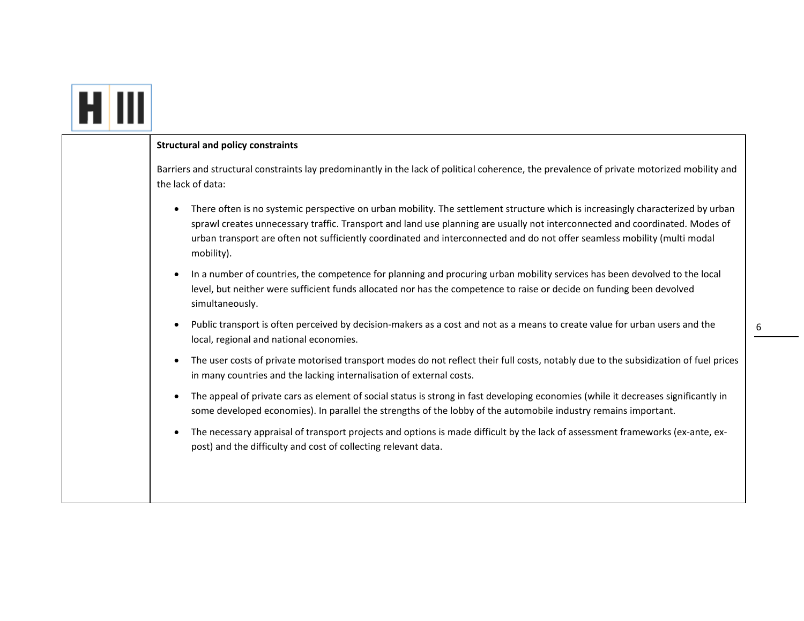| <b>Structural and policy constraints</b>                                                                                                                                                                                                                                                                                                                                                                                |
|-------------------------------------------------------------------------------------------------------------------------------------------------------------------------------------------------------------------------------------------------------------------------------------------------------------------------------------------------------------------------------------------------------------------------|
| Barriers and structural constraints lay predominantly in the lack of political coherence, the prevalence of private motorized mobility and<br>the lack of data:                                                                                                                                                                                                                                                         |
| There often is no systemic perspective on urban mobility. The settlement structure which is increasingly characterized by urban<br>$\bullet$<br>sprawl creates unnecessary traffic. Transport and land use planning are usually not interconnected and coordinated. Modes of<br>urban transport are often not sufficiently coordinated and interconnected and do not offer seamless mobility (multi modal<br>mobility). |
| In a number of countries, the competence for planning and procuring urban mobility services has been devolved to the local<br>$\bullet$<br>level, but neither were sufficient funds allocated nor has the competence to raise or decide on funding been devolved<br>simultaneously.                                                                                                                                     |
| Public transport is often perceived by decision-makers as a cost and not as a means to create value for urban users and the<br>$\bullet$<br>local, regional and national economies.                                                                                                                                                                                                                                     |
| The user costs of private motorised transport modes do not reflect their full costs, notably due to the subsidization of fuel prices<br>$\bullet$<br>in many countries and the lacking internalisation of external costs.                                                                                                                                                                                               |
| The appeal of private cars as element of social status is strong in fast developing economies (while it decreases significantly in<br>$\bullet$<br>some developed economies). In parallel the strengths of the lobby of the automobile industry remains important.                                                                                                                                                      |
| The necessary appraisal of transport projects and options is made difficult by the lack of assessment frameworks (ex-ante, ex-<br>$\bullet$<br>post) and the difficulty and cost of collecting relevant data.                                                                                                                                                                                                           |
|                                                                                                                                                                                                                                                                                                                                                                                                                         |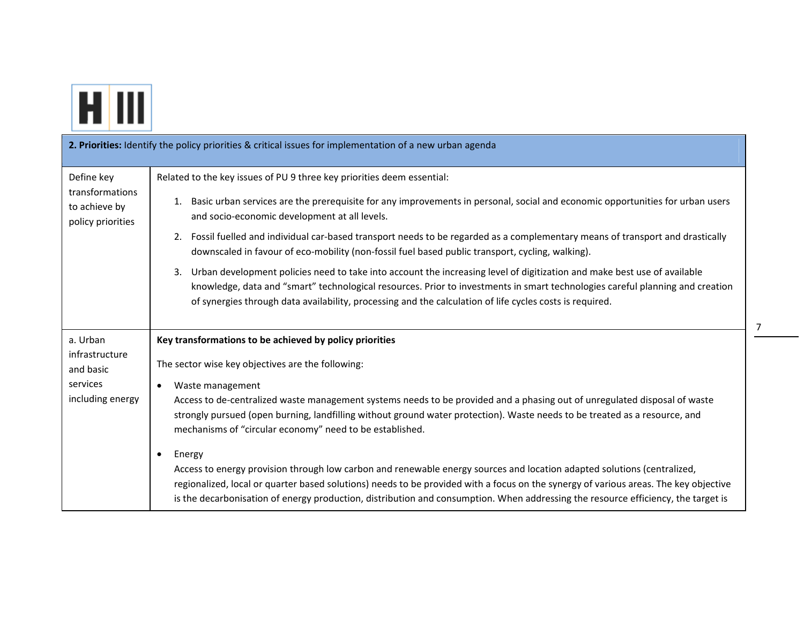

|                                                       | 2. Priorities: Identify the policy priorities & critical issues for implementation of a new urban agenda                                                                                                                                                                                                                                                                                             |
|-------------------------------------------------------|------------------------------------------------------------------------------------------------------------------------------------------------------------------------------------------------------------------------------------------------------------------------------------------------------------------------------------------------------------------------------------------------------|
| Define key                                            | Related to the key issues of PU 9 three key priorities deem essential:                                                                                                                                                                                                                                                                                                                               |
| transformations<br>to achieve by<br>policy priorities | Basic urban services are the prerequisite for any improvements in personal, social and economic opportunities for urban users<br>1.<br>and socio-economic development at all levels.                                                                                                                                                                                                                 |
|                                                       | Fossil fuelled and individual car-based transport needs to be regarded as a complementary means of transport and drastically<br>2.<br>downscaled in favour of eco-mobility (non-fossil fuel based public transport, cycling, walking).                                                                                                                                                               |
|                                                       | Urban development policies need to take into account the increasing level of digitization and make best use of available<br>3.<br>knowledge, data and "smart" technological resources. Prior to investments in smart technologies careful planning and creation<br>of synergies through data availability, processing and the calculation of life cycles costs is required.                          |
| a. Urban                                              | Key transformations to be achieved by policy priorities                                                                                                                                                                                                                                                                                                                                              |
| infrastructure<br>and basic                           | The sector wise key objectives are the following:                                                                                                                                                                                                                                                                                                                                                    |
| services                                              | Waste management                                                                                                                                                                                                                                                                                                                                                                                     |
| including energy                                      | Access to de-centralized waste management systems needs to be provided and a phasing out of unregulated disposal of waste<br>strongly pursued (open burning, landfilling without ground water protection). Waste needs to be treated as a resource, and<br>mechanisms of "circular economy" need to be established.                                                                                  |
|                                                       | Energy<br>$\bullet$                                                                                                                                                                                                                                                                                                                                                                                  |
|                                                       | Access to energy provision through low carbon and renewable energy sources and location adapted solutions (centralized,<br>regionalized, local or quarter based solutions) needs to be provided with a focus on the synergy of various areas. The key objective<br>is the decarbonisation of energy production, distribution and consumption. When addressing the resource efficiency, the target is |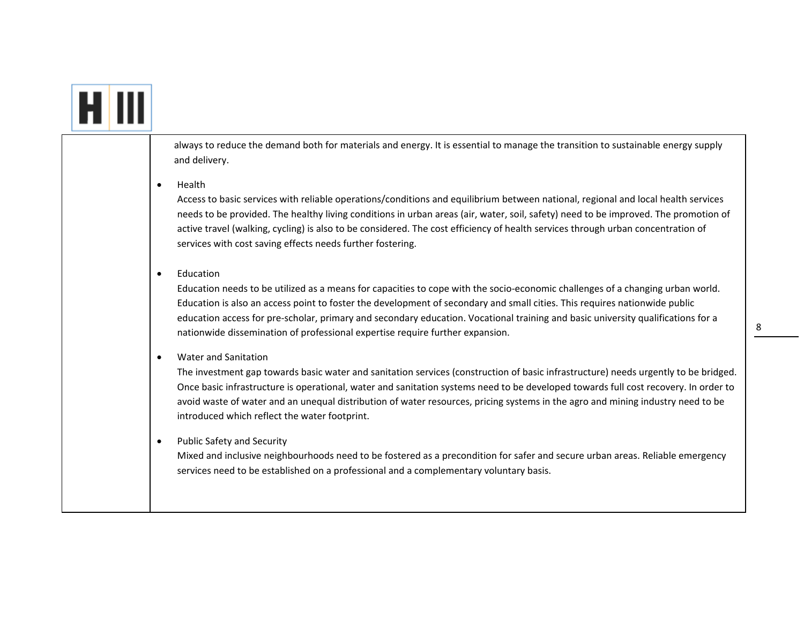## HIII

always to reduce the demand both for materials and energy. It is essential to manage the transition to sustainable energy supply and delivery.

. Health

> Access to basic services with reliable operations/conditions and equilibrium between national, regional and local health services needs to be provided. The healthy living conditions in urban areas (air, water, soil, safety) need to be improved. The promotion of active travel (walking, cycling) is also to be considered. The cost efficiency of health services through urban concentration of services with cost saving effects needs further fostering.

. Education

> Education needs to be utilized as <sup>a</sup> means for capacities to cope with the socio‐economic challenges of <sup>a</sup> changing urban world. Education is also an access point to foster the development of secondary and small cities. This requires nationwide public education access for pre‐scholar, primary and secondary education. Vocational training and basic university qualifications for <sup>a</sup> nationwide dissemination of professional expertise require further expansion.

 $\bullet$ Water and Sanitation

> The investment gap towards basic water and sanitation services (construction of basic infrastructure) needs urgently to be bridged. Once basic infrastructure is operational, water and sanitation systems need to be developed towards full cost recovery. In order to avoid waste of water and an unequal distribution of water resources, pricing systems in the agro and mining industry need to be introduced which reflect the water footprint.

 $\bullet$ Public Safety and Security

> Mixed and inclusive neighbourhoods need to be fostered as <sup>a</sup> precondition for safer and secure urban areas. Reliable emergency services need to be established on <sup>a</sup> professional and <sup>a</sup> complementary voluntary basis.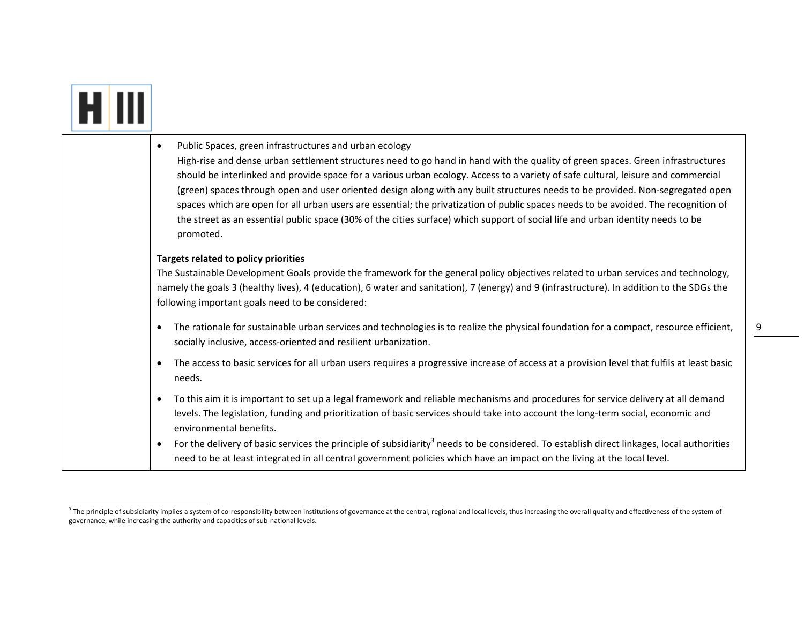| Public Spaces, green infrastructures and urban ecology<br>$\bullet$<br>High-rise and dense urban settlement structures need to go hand in hand with the quality of green spaces. Green infrastructures<br>should be interlinked and provide space for a various urban ecology. Access to a variety of safe cultural, leisure and commercial<br>(green) spaces through open and user oriented design along with any built structures needs to be provided. Non-segregated open<br>spaces which are open for all urban users are essential; the privatization of public spaces needs to be avoided. The recognition of<br>the street as an essential public space (30% of the cities surface) which support of social life and urban identity needs to be<br>promoted. |
|----------------------------------------------------------------------------------------------------------------------------------------------------------------------------------------------------------------------------------------------------------------------------------------------------------------------------------------------------------------------------------------------------------------------------------------------------------------------------------------------------------------------------------------------------------------------------------------------------------------------------------------------------------------------------------------------------------------------------------------------------------------------|
| Targets related to policy priorities<br>The Sustainable Development Goals provide the framework for the general policy objectives related to urban services and technology,<br>namely the goals 3 (healthy lives), 4 (education), 6 water and sanitation), 7 (energy) and 9 (infrastructure). In addition to the SDGs the<br>following important goals need to be considered:                                                                                                                                                                                                                                                                                                                                                                                        |
| The rationale for sustainable urban services and technologies is to realize the physical foundation for a compact, resource efficient,<br>$\bullet$<br>socially inclusive, access-oriented and resilient urbanization.                                                                                                                                                                                                                                                                                                                                                                                                                                                                                                                                               |
| The access to basic services for all urban users requires a progressive increase of access at a provision level that fulfils at least basic<br>$\bullet$<br>needs.                                                                                                                                                                                                                                                                                                                                                                                                                                                                                                                                                                                                   |
| To this aim it is important to set up a legal framework and reliable mechanisms and procedures for service delivery at all demand<br>$\bullet$<br>levels. The legislation, funding and prioritization of basic services should take into account the long-term social, economic and<br>environmental benefits.                                                                                                                                                                                                                                                                                                                                                                                                                                                       |
| For the delivery of basic services the principle of subsidiarity <sup>3</sup> needs to be considered. To establish direct linkages, local authorities<br>$\bullet$<br>need to be at least integrated in all central government policies which have an impact on the living at the local level.                                                                                                                                                                                                                                                                                                                                                                                                                                                                       |

**F** 

┰

9

<sup>&</sup>lt;sup>3</sup> The principle of subsidiarity implies a system of co-responsibility between institutions of governance at the central, regional and local levels, thus increasing the overall quality and effectiveness of the system of governance, while increasing the authority and capacities of sub‐national levels.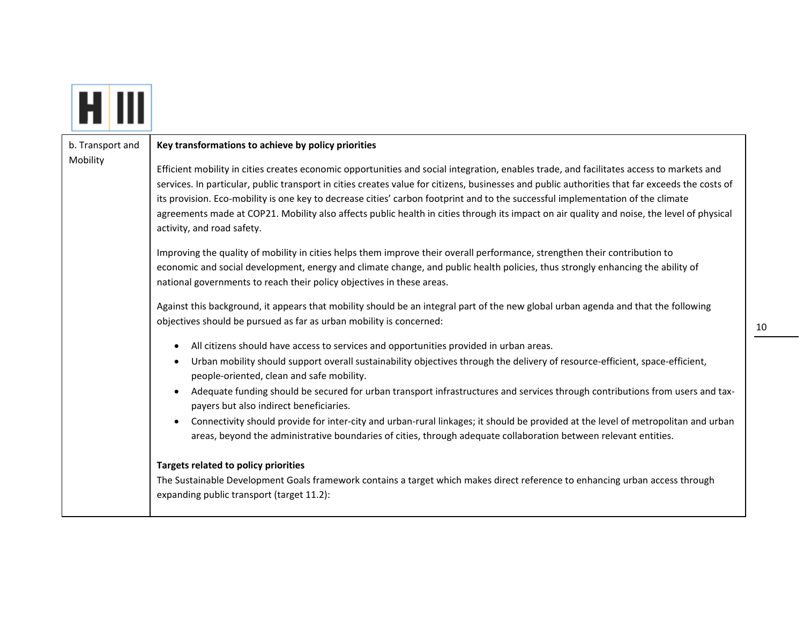|--|

Mobility

#### b. Transport and **Key transformations to achieve by policy priorities**

Efficient mobility in cities creates economic opportunities and social integration, enables trade, and facilitates access to markets and services. In particular, public transport in cities creates value for citizens, businesses and public authorities that far exceeds the costs of its provision. Eco‐mobility is one key to decrease cities' carbon footprint and to the successful implementation of the climate agreements made at COP21. Mobility also affects public health in cities through its impact on air quality and noise, the level of physical activity, and road safety.

Improving the quality of mobility in cities helps them improve their overall performance, strengthen their contribution to economic and social development, energy and climate change, and public health policies, thus strongly enhancing the ability of national governments to reach their policy objectives in these areas.

Against this background, it appears that mobility should be an integral part of the new global urban agenda and that the following objectives should be pursued as far as urban mobility is concerned:

- All citizens should have access to services and opportunities provided in urban areas.
- $\bullet$ ● Urban mobility should support overall sustainability objectives through the delivery of resource-efficient, space-efficient, people‐oriented, clean and safe mobility.
- Adequate funding should be secured for urban transport infrastructures and services through contributions from users and taxpayers but also indirect beneficiaries.
- Connectivity should provide for inter-city and urban-rural linkages; it should be provided at the level of metropolitan and urban areas, beyond the administrative boundaries of cities, through adequate collaboration between relevant entities.

### **Targets related to policy priorities**

The Sustainable Development Goals framework contains <sup>a</sup> target which makes direct reference to enhancing urban access through expanding public transport (target 11.2):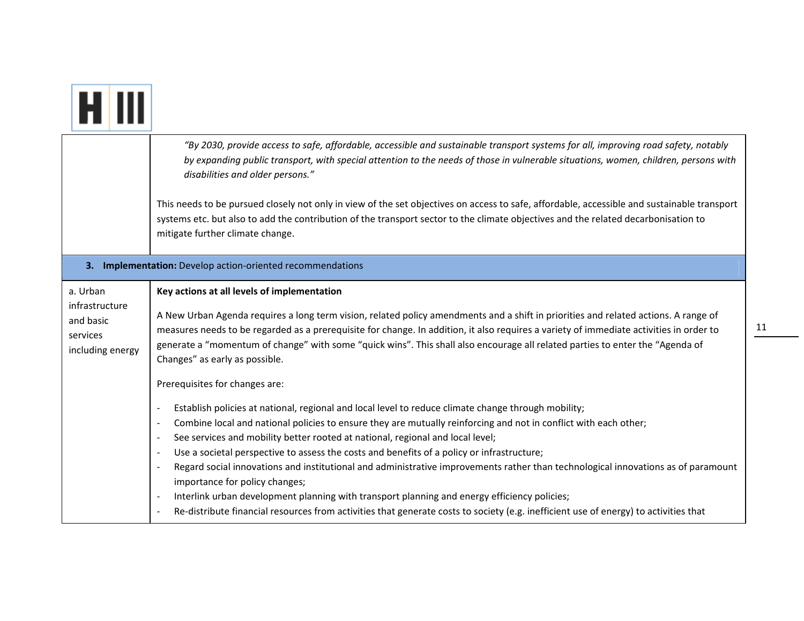|                                                                         | "By 2030, provide access to safe, affordable, accessible and sustainable transport systems for all, improving road safety, notably<br>by expanding public transport, with special attention to the needs of those in vulnerable situations, women, children, persons with<br>disabilities and older persons."                                                                                                                                                                                                                                                                                                                                                                                                                                                                                                                                                                                                                      |
|-------------------------------------------------------------------------|------------------------------------------------------------------------------------------------------------------------------------------------------------------------------------------------------------------------------------------------------------------------------------------------------------------------------------------------------------------------------------------------------------------------------------------------------------------------------------------------------------------------------------------------------------------------------------------------------------------------------------------------------------------------------------------------------------------------------------------------------------------------------------------------------------------------------------------------------------------------------------------------------------------------------------|
|                                                                         | This needs to be pursued closely not only in view of the set objectives on access to safe, affordable, accessible and sustainable transport<br>systems etc. but also to add the contribution of the transport sector to the climate objectives and the related decarbonisation to<br>mitigate further climate change.                                                                                                                                                                                                                                                                                                                                                                                                                                                                                                                                                                                                              |
|                                                                         | 3. Implementation: Develop action-oriented recommendations                                                                                                                                                                                                                                                                                                                                                                                                                                                                                                                                                                                                                                                                                                                                                                                                                                                                         |
| a. Urban<br>infrastructure<br>and basic<br>services<br>including energy | Key actions at all levels of implementation<br>A New Urban Agenda requires a long term vision, related policy amendments and a shift in priorities and related actions. A range of<br>measures needs to be regarded as a prerequisite for change. In addition, it also requires a variety of immediate activities in order to<br>generate a "momentum of change" with some "quick wins". This shall also encourage all related parties to enter the "Agenda of<br>Changes" as early as possible.<br>Prerequisites for changes are:                                                                                                                                                                                                                                                                                                                                                                                                 |
|                                                                         | Establish policies at national, regional and local level to reduce climate change through mobility;<br>$\blacksquare$<br>Combine local and national policies to ensure they are mutually reinforcing and not in conflict with each other;<br>$\blacksquare$<br>See services and mobility better rooted at national, regional and local level;<br>$\blacksquare$<br>Use a societal perspective to assess the costs and benefits of a policy or infrastructure;<br>$\blacksquare$<br>Regard social innovations and institutional and administrative improvements rather than technological innovations as of paramount<br>$\overline{a}$<br>importance for policy changes;<br>Interlink urban development planning with transport planning and energy efficiency policies;<br>Re-distribute financial resources from activities that generate costs to society (e.g. inefficient use of energy) to activities that<br>$\blacksquare$ |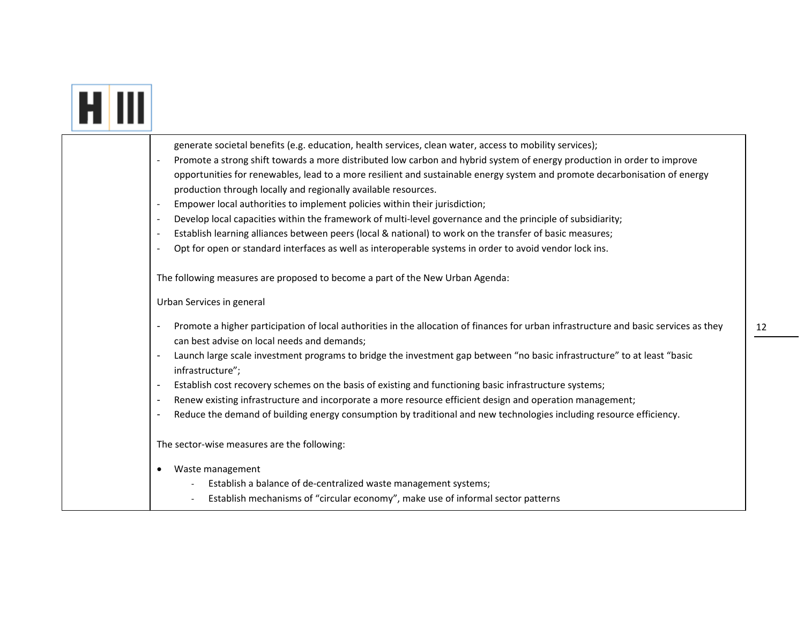|  | generate societal benefits (e.g. education, health services, clean water, access to mobility services);                                                                                                |
|--|--------------------------------------------------------------------------------------------------------------------------------------------------------------------------------------------------------|
|  | Promote a strong shift towards a more distributed low carbon and hybrid system of energy production in order to improve                                                                                |
|  | opportunities for renewables, lead to a more resilient and sustainable energy system and promote decarbonisation of energy                                                                             |
|  | production through locally and regionally available resources.                                                                                                                                         |
|  | Empower local authorities to implement policies within their jurisdiction;<br>$\overline{\phantom{a}}$                                                                                                 |
|  | Develop local capacities within the framework of multi-level governance and the principle of subsidiarity;<br>$\overline{a}$                                                                           |
|  | Establish learning alliances between peers (local & national) to work on the transfer of basic measures;                                                                                               |
|  | Opt for open or standard interfaces as well as interoperable systems in order to avoid vendor lock ins.<br>$\blacksquare$                                                                              |
|  | The following measures are proposed to become a part of the New Urban Agenda:                                                                                                                          |
|  | Urban Services in general                                                                                                                                                                              |
|  | Promote a higher participation of local authorities in the allocation of finances for urban infrastructure and basic services as they<br>$\blacksquare$<br>can best advise on local needs and demands; |
|  | Launch large scale investment programs to bridge the investment gap between "no basic infrastructure" to at least "basic<br>infrastructure";                                                           |
|  | Establish cost recovery schemes on the basis of existing and functioning basic infrastructure systems;<br>$\blacksquare$                                                                               |
|  | Renew existing infrastructure and incorporate a more resource efficient design and operation management;<br>$\blacksquare$                                                                             |
|  | Reduce the demand of building energy consumption by traditional and new technologies including resource efficiency.                                                                                    |
|  | The sector-wise measures are the following:                                                                                                                                                            |
|  | Waste management<br>$\bullet$                                                                                                                                                                          |
|  | Establish a balance of de-centralized waste management systems;                                                                                                                                        |
|  | Establish mechanisms of "circular economy", make use of informal sector patterns                                                                                                                       |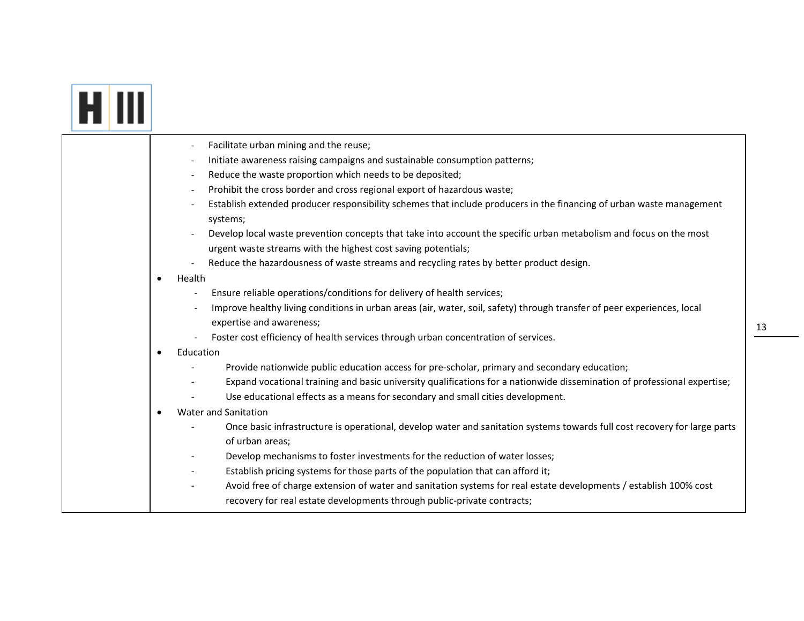# **ETTI**

|           | Facilitate urban mining and the reuse;                                                                                                                                              |
|-----------|-------------------------------------------------------------------------------------------------------------------------------------------------------------------------------------|
|           | Initiate awareness raising campaigns and sustainable consumption patterns;                                                                                                          |
|           | Reduce the waste proportion which needs to be deposited;                                                                                                                            |
|           | Prohibit the cross border and cross regional export of hazardous waste;                                                                                                             |
|           | Establish extended producer responsibility schemes that include producers in the financing of urban waste management<br>systems;                                                    |
|           | Develop local waste prevention concepts that take into account the specific urban metabolism and focus on the most<br>urgent waste streams with the highest cost saving potentials; |
|           | Reduce the hazardousness of waste streams and recycling rates by better product design.                                                                                             |
| ٠         | Health                                                                                                                                                                              |
|           | Ensure reliable operations/conditions for delivery of health services;                                                                                                              |
|           | Improve healthy living conditions in urban areas (air, water, soil, safety) through transfer of peer experiences, local                                                             |
|           | expertise and awareness;                                                                                                                                                            |
|           | Foster cost efficiency of health services through urban concentration of services.                                                                                                  |
| $\bullet$ | Education                                                                                                                                                                           |
|           | Provide nationwide public education access for pre-scholar, primary and secondary education;                                                                                        |
|           | Expand vocational training and basic university qualifications for a nationwide dissemination of professional expertise;                                                            |
|           | Use educational effects as a means for secondary and small cities development.                                                                                                      |
| ٠         | <b>Water and Sanitation</b>                                                                                                                                                         |
|           | Once basic infrastructure is operational, develop water and sanitation systems towards full cost recovery for large parts                                                           |
|           | of urban areas;                                                                                                                                                                     |
|           | Develop mechanisms to foster investments for the reduction of water losses;                                                                                                         |
|           | Establish pricing systems for those parts of the population that can afford it;                                                                                                     |
|           | Avoid free of charge extension of water and sanitation systems for real estate developments / establish 100% cost                                                                   |
|           | recovery for real estate developments through public-private contracts;                                                                                                             |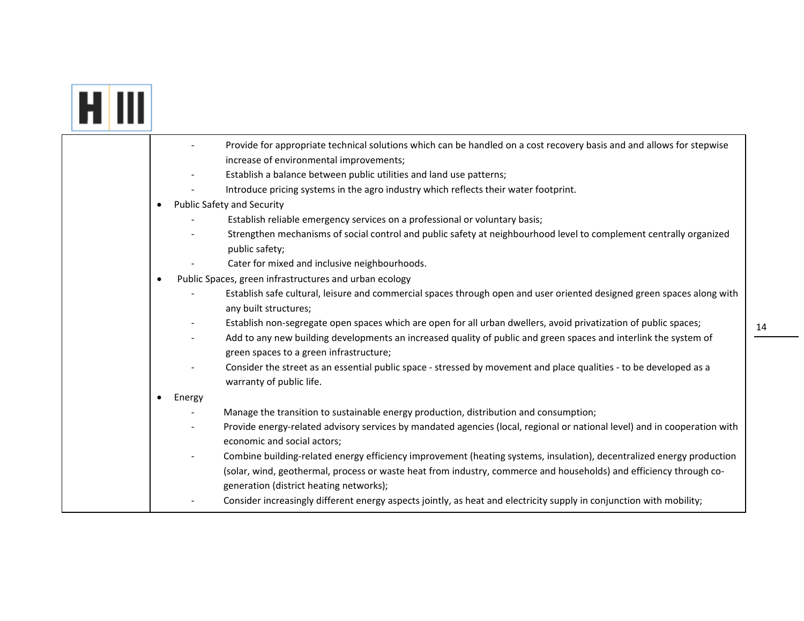|  | Provide for appropriate technical solutions which can be handled on a cost recovery basis and and allows for stepwise<br>increase of environmental improvements;                                                                     |
|--|--------------------------------------------------------------------------------------------------------------------------------------------------------------------------------------------------------------------------------------|
|  | Establish a balance between public utilities and land use patterns;                                                                                                                                                                  |
|  | Introduce pricing systems in the agro industry which reflects their water footprint.                                                                                                                                                 |
|  | <b>Public Safety and Security</b>                                                                                                                                                                                                    |
|  | Establish reliable emergency services on a professional or voluntary basis;                                                                                                                                                          |
|  | Strengthen mechanisms of social control and public safety at neighbourhood level to complement centrally organized<br>public safety;                                                                                                 |
|  | Cater for mixed and inclusive neighbourhoods.                                                                                                                                                                                        |
|  | Public Spaces, green infrastructures and urban ecology<br>$\bullet$                                                                                                                                                                  |
|  | Establish safe cultural, leisure and commercial spaces through open and user oriented designed green spaces along with<br>any built structures;                                                                                      |
|  | Establish non-segregate open spaces which are open for all urban dwellers, avoid privatization of public spaces;<br>Add to any new building developments an increased quality of public and green spaces and interlink the system of |
|  | green spaces to a green infrastructure;                                                                                                                                                                                              |
|  | Consider the street as an essential public space - stressed by movement and place qualities - to be developed as a<br>warranty of public life.                                                                                       |
|  | Energy                                                                                                                                                                                                                               |
|  | Manage the transition to sustainable energy production, distribution and consumption;                                                                                                                                                |
|  | Provide energy-related advisory services by mandated agencies (local, regional or national level) and in cooperation with<br>economic and social actors;                                                                             |
|  | Combine building-related energy efficiency improvement (heating systems, insulation), decentralized energy production                                                                                                                |
|  | (solar, wind, geothermal, process or waste heat from industry, commerce and households) and efficiency through co-<br>generation (district heating networks);                                                                        |
|  | Consider increasingly different energy aspects jointly, as heat and electricity supply in conjunction with mobility;                                                                                                                 |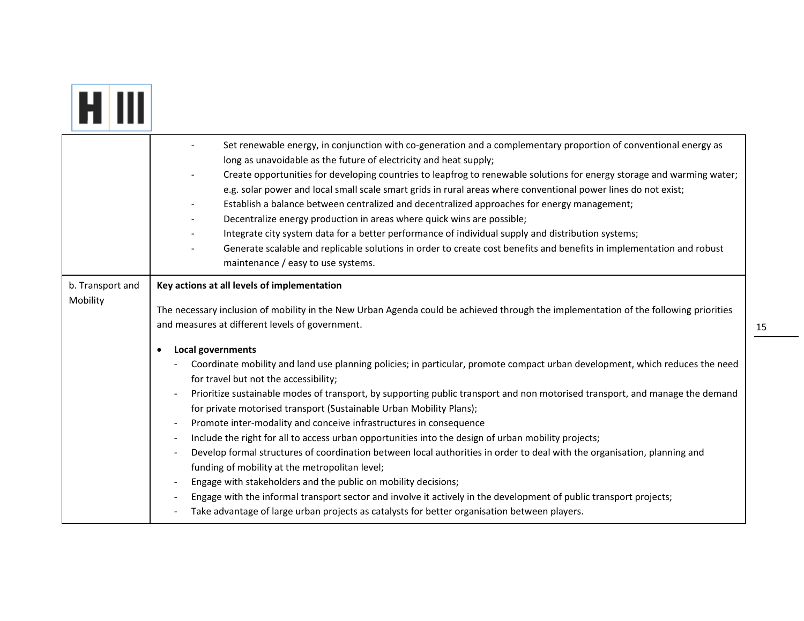| HIII |  |  |
|------|--|--|
|------|--|--|

|                              | Set renewable energy, in conjunction with co-generation and a complementary proportion of conventional energy as<br>long as unavoidable as the future of electricity and heat supply;<br>Create opportunities for developing countries to leapfrog to renewable solutions for energy storage and warming water;<br>e.g. solar power and local small scale smart grids in rural areas where conventional power lines do not exist;<br>Establish a balance between centralized and decentralized approaches for energy management;<br>Decentralize energy production in areas where quick wins are possible;<br>Integrate city system data for a better performance of individual supply and distribution systems;<br>Generate scalable and replicable solutions in order to create cost benefits and benefits in implementation and robust<br>maintenance / easy to use systems.                                                                                                                                                                                                                                                                                                                                                                                                                                    |
|------------------------------|--------------------------------------------------------------------------------------------------------------------------------------------------------------------------------------------------------------------------------------------------------------------------------------------------------------------------------------------------------------------------------------------------------------------------------------------------------------------------------------------------------------------------------------------------------------------------------------------------------------------------------------------------------------------------------------------------------------------------------------------------------------------------------------------------------------------------------------------------------------------------------------------------------------------------------------------------------------------------------------------------------------------------------------------------------------------------------------------------------------------------------------------------------------------------------------------------------------------------------------------------------------------------------------------------------------------|
| b. Transport and<br>Mobility | Key actions at all levels of implementation<br>The necessary inclusion of mobility in the New Urban Agenda could be achieved through the implementation of the following priorities<br>and measures at different levels of government.<br>Local governments<br>Coordinate mobility and land use planning policies; in particular, promote compact urban development, which reduces the need<br>for travel but not the accessibility;<br>Prioritize sustainable modes of transport, by supporting public transport and non motorised transport, and manage the demand<br>for private motorised transport (Sustainable Urban Mobility Plans);<br>Promote inter-modality and conceive infrastructures in consequence<br>$\sim$<br>Include the right for all to access urban opportunities into the design of urban mobility projects;<br>$\sim$<br>Develop formal structures of coordination between local authorities in order to deal with the organisation, planning and<br>funding of mobility at the metropolitan level;<br>Engage with stakeholders and the public on mobility decisions;<br>Engage with the informal transport sector and involve it actively in the development of public transport projects;<br>Take advantage of large urban projects as catalysts for better organisation between players. |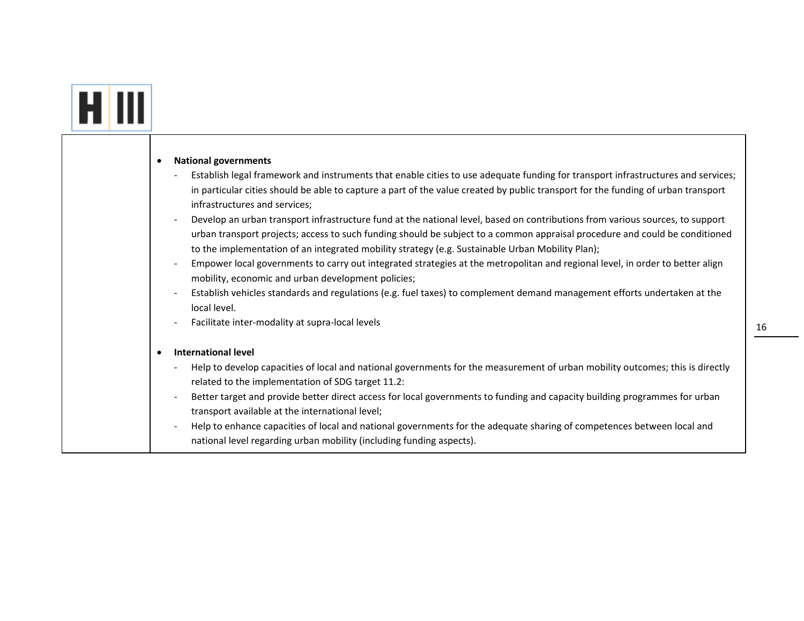# **EL III**

| $\bullet$                | <b>National governments</b>                                                                                                                                                                                                     |
|--------------------------|---------------------------------------------------------------------------------------------------------------------------------------------------------------------------------------------------------------------------------|
| $\overline{\phantom{a}}$ | Establish legal framework and instruments that enable cities to use adequate funding for transport infrastructures and services;                                                                                                |
|                          | in particular cities should be able to capture a part of the value created by public transport for the funding of urban transport<br>infrastructures and services;                                                              |
| $\overline{\phantom{a}}$ | Develop an urban transport infrastructure fund at the national level, based on contributions from various sources, to support                                                                                                   |
|                          | urban transport projects; access to such funding should be subject to a common appraisal procedure and could be conditioned<br>to the implementation of an integrated mobility strategy (e.g. Sustainable Urban Mobility Plan); |
| $\overline{\phantom{a}}$ | Empower local governments to carry out integrated strategies at the metropolitan and regional level, in order to better align<br>mobility, economic and urban development policies;                                             |
| $\overline{\phantom{a}}$ | Establish vehicles standards and regulations (e.g. fuel taxes) to complement demand management efforts undertaken at the                                                                                                        |
|                          | local level.                                                                                                                                                                                                                    |
| $\overline{\phantom{a}}$ | Facilitate inter-modality at supra-local levels                                                                                                                                                                                 |
| $\bullet$                | <b>International level</b>                                                                                                                                                                                                      |
|                          | Help to develop capacities of local and national governments for the measurement of urban mobility outcomes; this is directly                                                                                                   |
|                          | related to the implementation of SDG target 11.2:                                                                                                                                                                               |
| $\overline{\phantom{a}}$ | Better target and provide better direct access for local governments to funding and capacity building programmes for urban                                                                                                      |
|                          | transport available at the international level;                                                                                                                                                                                 |
| $\overline{\phantom{a}}$ | Help to enhance capacities of local and national governments for the adequate sharing of competences between local and                                                                                                          |
|                          | national level regarding urban mobility (including funding aspects).                                                                                                                                                            |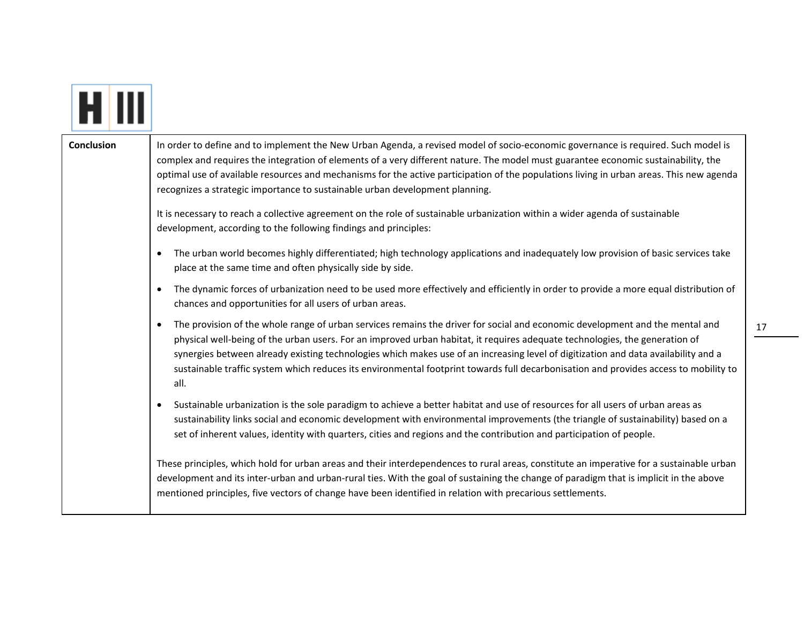| <b>Conclusion</b> | In order to define and to implement the New Urban Agenda, a revised model of socio-economic governance is required. Such model is<br>complex and requires the integration of elements of a very different nature. The model must guarantee economic sustainability, the<br>optimal use of available resources and mechanisms for the active participation of the populations living in urban areas. This new agenda<br>recognizes a strategic importance to sustainable urban development planning.                                                            |
|-------------------|----------------------------------------------------------------------------------------------------------------------------------------------------------------------------------------------------------------------------------------------------------------------------------------------------------------------------------------------------------------------------------------------------------------------------------------------------------------------------------------------------------------------------------------------------------------|
|                   | It is necessary to reach a collective agreement on the role of sustainable urbanization within a wider agenda of sustainable<br>development, according to the following findings and principles:                                                                                                                                                                                                                                                                                                                                                               |
|                   | The urban world becomes highly differentiated; high technology applications and inadequately low provision of basic services take<br>place at the same time and often physically side by side.                                                                                                                                                                                                                                                                                                                                                                 |
|                   | The dynamic forces of urbanization need to be used more effectively and efficiently in order to provide a more equal distribution of<br>$\bullet$<br>chances and opportunities for all users of urban areas.                                                                                                                                                                                                                                                                                                                                                   |
|                   | The provision of the whole range of urban services remains the driver for social and economic development and the mental and<br>$\bullet$<br>physical well-being of the urban users. For an improved urban habitat, it requires adequate technologies, the generation of<br>synergies between already existing technologies which makes use of an increasing level of digitization and data availability and a<br>sustainable traffic system which reduces its environmental footprint towards full decarbonisation and provides access to mobility to<br>all. |
|                   | Sustainable urbanization is the sole paradigm to achieve a better habitat and use of resources for all users of urban areas as<br>sustainability links social and economic development with environmental improvements (the triangle of sustainability) based on a<br>set of inherent values, identity with quarters, cities and regions and the contribution and participation of people.                                                                                                                                                                     |
|                   | These principles, which hold for urban areas and their interdependences to rural areas, constitute an imperative for a sustainable urban<br>development and its inter-urban and urban-rural ties. With the goal of sustaining the change of paradigm that is implicit in the above<br>mentioned principles, five vectors of change have been identified in relation with precarious settlements.                                                                                                                                                               |